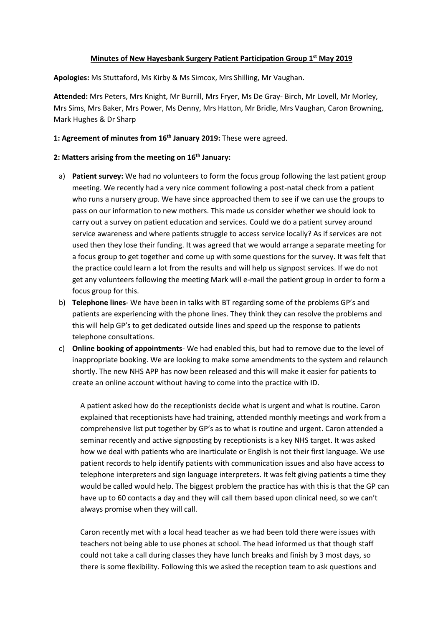## **Minutes of New Hayesbank Surgery Patient Participation Group 1 st May 2019**

**Apologies:** Ms Stuttaford, Ms Kirby & Ms Simcox, Mrs Shilling, Mr Vaughan.

**Attended:** Mrs Peters, Mrs Knight, Mr Burrill, Mrs Fryer, Ms De Gray- Birch, Mr Lovell, Mr Morley, Mrs Sims, Mrs Baker, Mrs Power, Ms Denny, Mrs Hatton, Mr Bridle, Mrs Vaughan, Caron Browning, Mark Hughes & Dr Sharp

## **1: Agreement of minutes from 16th January 2019:** These were agreed.

## **2: Matters arising from the meeting on 16th January:**

- a) **Patient survey:** We had no volunteers to form the focus group following the last patient group meeting. We recently had a very nice comment following a post-natal check from a patient who runs a nursery group. We have since approached them to see if we can use the groups to pass on our information to new mothers. This made us consider whether we should look to carry out a survey on patient education and services. Could we do a patient survey around service awareness and where patients struggle to access service locally? As if services are not used then they lose their funding. It was agreed that we would arrange a separate meeting for a focus group to get together and come up with some questions for the survey. It was felt that the practice could learn a lot from the results and will help us signpost services. If we do not get any volunteers following the meeting Mark will e-mail the patient group in order to form a focus group for this.
- b) **Telephone lines** We have been in talks with BT regarding some of the problems GP's and patients are experiencing with the phone lines. They think they can resolve the problems and this will help GP's to get dedicated outside lines and speed up the response to patients telephone consultations.
- c) **Online booking of appointments** We had enabled this, but had to remove due to the level of inappropriate booking. We are looking to make some amendments to the system and relaunch shortly. The new NHS APP has now been released and this will make it easier for patients to create an online account without having to come into the practice with ID.

A patient asked how do the receptionists decide what is urgent and what is routine. Caron explained that receptionists have had training, attended monthly meetings and work from a comprehensive list put together by GP's as to what is routine and urgent. Caron attended a seminar recently and active signposting by receptionists is a key NHS target. It was asked how we deal with patients who are inarticulate or English is not their first language. We use patient records to help identify patients with communication issues and also have access to telephone interpreters and sign language interpreters. It was felt giving patients a time they would be called would help. The biggest problem the practice has with this is that the GP can have up to 60 contacts a day and they will call them based upon clinical need, so we can't always promise when they will call.

Caron recently met with a local head teacher as we had been told there were issues with teachers not being able to use phones at school. The head informed us that though staff could not take a call during classes they have lunch breaks and finish by 3 most days, so there is some flexibility. Following this we asked the reception team to ask questions and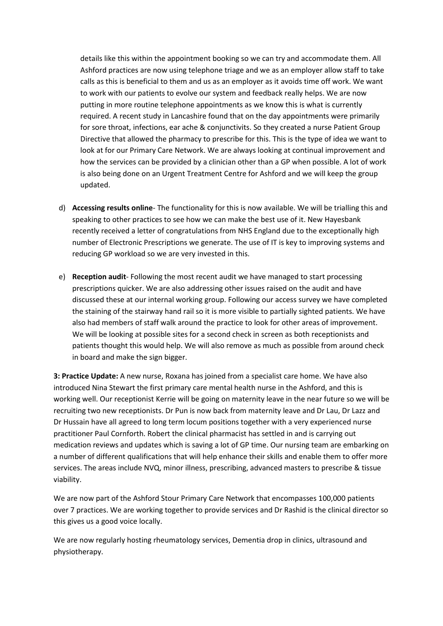details like this within the appointment booking so we can try and accommodate them. All Ashford practices are now using telephone triage and we as an employer allow staff to take calls as this is beneficial to them and us as an employer as it avoids time off work. We want to work with our patients to evolve our system and feedback really helps. We are now putting in more routine telephone appointments as we know this is what is currently required. A recent study in Lancashire found that on the day appointments were primarily for sore throat, infections, ear ache & conjunctivits. So they created a nurse Patient Group Directive that allowed the pharmacy to prescribe for this. This is the type of idea we want to look at for our Primary Care Network. We are always looking at continual improvement and how the services can be provided by a clinician other than a GP when possible. A lot of work is also being done on an Urgent Treatment Centre for Ashford and we will keep the group updated.

- d) **Accessing results online** The functionality for this is now available. We will be trialling this and speaking to other practices to see how we can make the best use of it. New Hayesbank recently received a letter of congratulations from NHS England due to the exceptionally high number of Electronic Prescriptions we generate. The use of IT is key to improving systems and reducing GP workload so we are very invested in this.
- e) **Reception audit** Following the most recent audit we have managed to start processing prescriptions quicker. We are also addressing other issues raised on the audit and have discussed these at our internal working group. Following our access survey we have completed the staining of the stairway hand rail so it is more visible to partially sighted patients. We have also had members of staff walk around the practice to look for other areas of improvement. We will be looking at possible sites for a second check in screen as both receptionists and patients thought this would help. We will also remove as much as possible from around check in board and make the sign bigger.

**3: Practice Update:** A new nurse, Roxana has joined from a specialist care home. We have also introduced Nina Stewart the first primary care mental health nurse in the Ashford, and this is working well. Our receptionist Kerrie will be going on maternity leave in the near future so we will be recruiting two new receptionists. Dr Pun is now back from maternity leave and Dr Lau, Dr Lazz and Dr Hussain have all agreed to long term locum positions together with a very experienced nurse practitioner Paul Cornforth. Robert the clinical pharmacist has settled in and is carrying out medication reviews and updates which is saving a lot of GP time. Our nursing team are embarking on a number of different qualifications that will help enhance their skills and enable them to offer more services. The areas include NVQ, minor illness, prescribing, advanced masters to prescribe & tissue viability.

We are now part of the Ashford Stour Primary Care Network that encompasses 100,000 patients over 7 practices. We are working together to provide services and Dr Rashid is the clinical director so this gives us a good voice locally.

We are now regularly hosting rheumatology services, Dementia drop in clinics, ultrasound and physiotherapy.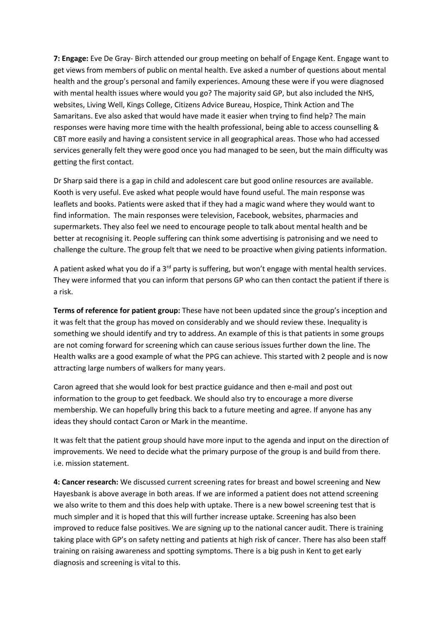**7: Engage:** Eve De Gray- Birch attended our group meeting on behalf of Engage Kent. Engage want to get views from members of public on mental health. Eve asked a number of questions about mental health and the group's personal and family experiences. Amoung these were if you were diagnosed with mental health issues where would you go? The majority said GP, but also included the NHS, websites, Living Well, Kings College, Citizens Advice Bureau, Hospice, Think Action and The Samaritans. Eve also asked that would have made it easier when trying to find help? The main responses were having more time with the health professional, being able to access counselling & CBT more easily and having a consistent service in all geographical areas. Those who had accessed services generally felt they were good once you had managed to be seen, but the main difficulty was getting the first contact.

Dr Sharp said there is a gap in child and adolescent care but good online resources are available. Kooth is very useful. Eve asked what people would have found useful. The main response was leaflets and books. Patients were asked that if they had a magic wand where they would want to find information. The main responses were television, Facebook, websites, pharmacies and supermarkets. They also feel we need to encourage people to talk about mental health and be better at recognising it. People suffering can think some advertising is patronising and we need to challenge the culture. The group felt that we need to be proactive when giving patients information.

A patient asked what you do if a  $3^{rd}$  party is suffering, but won't engage with mental health services. They were informed that you can inform that persons GP who can then contact the patient if there is a risk.

**Terms of reference for patient group:** These have not been updated since the group's inception and it was felt that the group has moved on considerably and we should review these. Inequality is something we should identify and try to address. An example of this is that patients in some groups are not coming forward for screening which can cause serious issues further down the line. The Health walks are a good example of what the PPG can achieve. This started with 2 people and is now attracting large numbers of walkers for many years.

Caron agreed that she would look for best practice guidance and then e-mail and post out information to the group to get feedback. We should also try to encourage a more diverse membership. We can hopefully bring this back to a future meeting and agree. If anyone has any ideas they should contact Caron or Mark in the meantime.

It was felt that the patient group should have more input to the agenda and input on the direction of improvements. We need to decide what the primary purpose of the group is and build from there. i.e. mission statement.

**4: Cancer research:** We discussed current screening rates for breast and bowel screening and New Hayesbank is above average in both areas. If we are informed a patient does not attend screening we also write to them and this does help with uptake. There is a new bowel screening test that is much simpler and it is hoped that this will further increase uptake. Screening has also been improved to reduce false positives. We are signing up to the national cancer audit. There is training taking place with GP's on safety netting and patients at high risk of cancer. There has also been staff training on raising awareness and spotting symptoms. There is a big push in Kent to get early diagnosis and screening is vital to this.